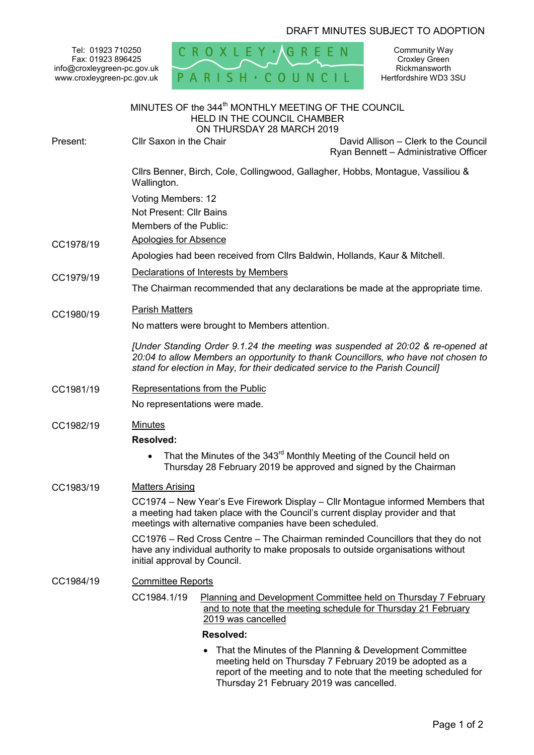## DRAFT MINUTES SUBJECT TO ADOPTION

Tel: 01923 710250 Fax: 01923 896425 info@croxleygreen-pc.gov.uk www.croxleygreen-pc.gov.uk



Community Way Croxley Green Rickmansworth Hertfordshire WD3 3SU

|           | MINUTES OF the 344 <sup>th</sup> MONTHLY MEETING OF THE COUNCIL<br><b>HELD IN THE COUNCIL CHAMBER</b><br>ON THURSDAY 28 MARCH 2019                                                                                                                    |  |
|-----------|-------------------------------------------------------------------------------------------------------------------------------------------------------------------------------------------------------------------------------------------------------|--|
| Present:  | Cllr Saxon in the Chair<br>David Allison - Clerk to the Council<br>Ryan Bennett - Administrative Officer                                                                                                                                              |  |
|           | Cllrs Benner, Birch, Cole, Collingwood, Gallagher, Hobbs, Montague, Vassiliou &<br>Wallington.                                                                                                                                                        |  |
|           | Voting Members: 12<br>Not Present: Cllr Bains                                                                                                                                                                                                         |  |
|           | Members of the Public:                                                                                                                                                                                                                                |  |
| CC1978/19 | <b>Apologies for Absence</b>                                                                                                                                                                                                                          |  |
|           | Apologies had been received from Cllrs Baldwin, Hollands, Kaur & Mitchell.                                                                                                                                                                            |  |
| CC1979/19 | Declarations of Interests by Members                                                                                                                                                                                                                  |  |
|           | The Chairman recommended that any declarations be made at the appropriate time.                                                                                                                                                                       |  |
|           | <b>Parish Matters</b>                                                                                                                                                                                                                                 |  |
| CC1980/19 | No matters were brought to Members attention.                                                                                                                                                                                                         |  |
|           | [Under Standing Order 9.1.24 the meeting was suspended at 20:02 & re-opened at<br>20:04 to allow Members an opportunity to thank Councillors, who have not chosen to<br>stand for election in May, for their dedicated service to the Parish Council] |  |
| CC1981/19 | Representations from the Public                                                                                                                                                                                                                       |  |
|           | No representations were made.                                                                                                                                                                                                                         |  |
| CC1982/19 | <b>Minutes</b>                                                                                                                                                                                                                                        |  |
|           | <b>Resolved:</b>                                                                                                                                                                                                                                      |  |
|           | That the Minutes of the 343 <sup>rd</sup> Monthly Meeting of the Council held on<br>Thursday 28 February 2019 be approved and signed by the Chairman                                                                                                  |  |
| CC1983/19 | <b>Matters Arising</b>                                                                                                                                                                                                                                |  |
|           | CC1974 – New Year's Eve Firework Display – Cllr Montague informed Members that<br>a meeting had taken place with the Council's current display provider and that<br>meetings with alternative companies have been scheduled.                          |  |
|           | CC1976 – Red Cross Centre – The Chairman reminded Councillors that they do not<br>have any individual authority to make proposals to outside organisations without<br>initial approval by Council.                                                    |  |
| CC1984/19 | <b>Committee Reports</b>                                                                                                                                                                                                                              |  |
|           | CC1984.1/19<br><b>Planning and Development Committee held on Thursday 7 February</b><br>and to note that the meeting schedule for Thursday 21 February<br>2019 was cancelled                                                                          |  |
|           | <b>Resolved:</b>                                                                                                                                                                                                                                      |  |
|           | That the Minutes of the Planning & Development Committee                                                                                                                                                                                              |  |

meeting held on Thursday 7 February 2019 be adopted as a report of the meeting and to note that the meeting scheduled for Thursday 21 February 2019 was cancelled.